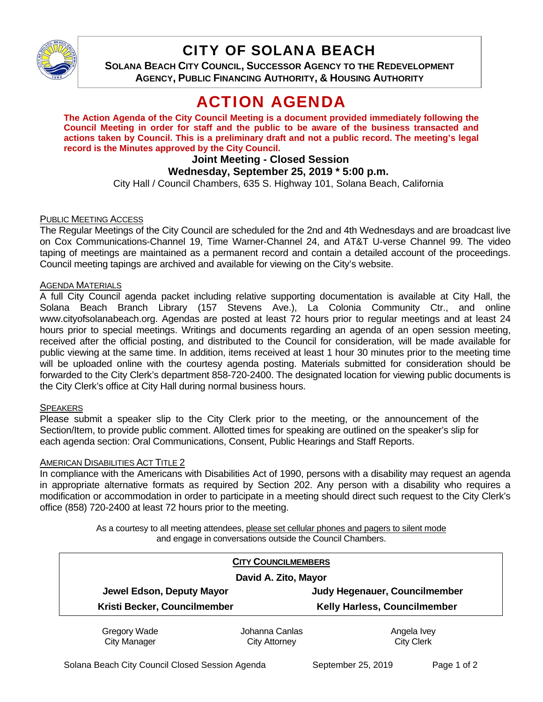

# CITY OF SOLANA BEACH

**SOLANA BEACH CITY COUNCIL, SUCCESSOR AGENCY TO THE REDEVELOPMENT AGENCY, PUBLIC FINANCING AUTHORITY, & HOUSING AUTHORITY** 

# ACTION AGENDA

**The Action Agenda of the City Council Meeting is a document provided immediately following the Council Meeting in order for staff and the public to be aware of the business transacted and actions taken by Council. This is a preliminary draft and not a public record. The meeting's legal record is the Minutes approved by the City Council.** 

# **Joint Meeting - Closed Session**

## **Wednesday, September 25, 2019 \* 5:00 p.m.**

City Hall / Council Chambers, 635 S. Highway 101, Solana Beach, California

### PUBLIC MEETING ACCESS

The Regular Meetings of the City Council are scheduled for the 2nd and 4th Wednesdays and are broadcast live on Cox Communications-Channel 19, Time Warner-Channel 24, and AT&T U-verse Channel 99. The video taping of meetings are maintained as a permanent record and contain a detailed account of the proceedings. Council meeting tapings are archived and available for viewing on the City's website.

#### **AGENDA MATERIALS**

A full City Council agenda packet including relative supporting documentation is available at City Hall, the Solana Beach Branch Library (157 Stevens Ave.), La Colonia Community Ctr., and online www.cityofsolanabeach.org. Agendas are posted at least 72 hours prior to regular meetings and at least 24 hours prior to special meetings. Writings and documents regarding an agenda of an open session meeting, received after the official posting, and distributed to the Council for consideration, will be made available for public viewing at the same time. In addition, items received at least 1 hour 30 minutes prior to the meeting time will be uploaded online with the courtesy agenda posting. Materials submitted for consideration should be forwarded to the City Clerk's department 858-720-2400. The designated location for viewing public documents is the City Clerk's office at City Hall during normal business hours.

#### **SPEAKERS**

Please submit a speaker slip to the City Clerk prior to the meeting, or the announcement of the Section/Item, to provide public comment. Allotted times for speaking are outlined on the speaker's slip for each agenda section: Oral Communications, Consent, Public Hearings and Staff Reports.

#### **AMERICAN DISABILITIES ACT TITLE 2**

In compliance with the Americans with Disabilities Act of 1990, persons with a disability may request an agenda in appropriate alternative formats as required by Section 202. Any person with a disability who requires a modification or accommodation in order to participate in a meeting should direct such request to the City Clerk's office (858) 720-2400 at least 72 hours prior to the meeting.

> As a courtesy to all meeting attendees, please set cellular phones and pagers to silent mode and engage in conversations outside the Council Chambers.

|                              | <b>CITY COUNCILMEMBERS</b> |                                      |
|------------------------------|----------------------------|--------------------------------------|
| David A. Zito, Mayor         |                            |                                      |
| Jewel Edson, Deputy Mayor    |                            | <b>Judy Hegenauer, Councilmember</b> |
| Kristi Becker, Councilmember |                            | Kelly Harless, Councilmember         |
| Gregory Wade                 | Johanna Canlas             | Angela Ivey                          |
| <b>City Manager</b>          | <b>City Attorney</b>       | <b>City Clerk</b>                    |

Solana Beach City Council Closed Session Agenda September 25, 2019 Page 1 of 2